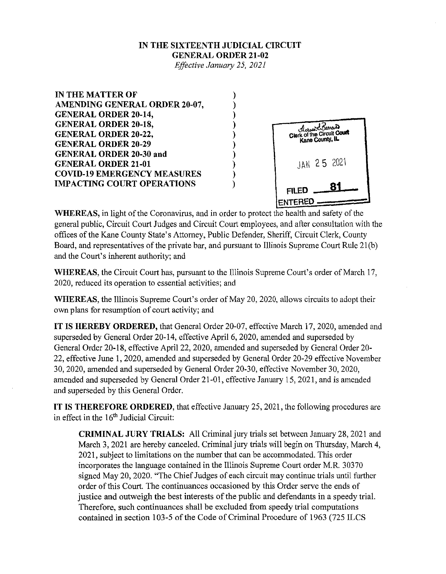## **IN THE SIXTEENTH JUDICIAL CIRCUIT GENERAL ORDER 21-02**

*Effective January 25, 2021* 



**WHEREAS,** in light of the Coronavirus, and in order to protect the health and safety of the general public, Circuit Court Judges and Circuit Court employees, and after consultation with the offices of the Kane County State's Attorney, Public Defender, Sheriff, Circuit Clerk, County Board, and representatives of the private bar, and pursuant to Illinois Supreme Court Rule 21(b) and the Court's inherent authority; and

**WHEREAS,** the Circuit Court has, pursuant to the Illinois Supreme Court's order of March 17, 2020, reduced its operation to essential activities; and

**WHEREAS,** the Illinois Supreme Court's order of May 20, 2020, allows circuits to adopt their own plans for resumption of court activity; and

**IT IS HEREBY ORDERED,** that General Order 20-07, effective March 17, 2020, amended and superseded by General Order 20-14, effective April 6, 2020, amended and superseded by General Order 20-18, effective April 22, 2020, amended and superseded by General Order 20- 22, effective June 1, 2020, amended and superseded by General Order 20-29 effective November 30, 2020, amended and superseded by General Order 20-30, effective November 30, 2020, amended and superseded by General Order 21-01, effective January 15,2021, and is amended and superseded by this General Order.

**IT IS THEREFORE ORDERED,** that effective January 25,2021, the following procedures are in effect in the 16<sup>th</sup> Judicial Circuit:

**CRIMINAL JURY TRIALS:** All Criminal jury trials set between January 28, 2021 and March 3, 2021 are hereby canceled. Criminal jury trials will begin on Thursday, March 4, 2021, subject to limitations on the number that can be accommodated. This order incorporates the language contained in the Illinois Supreme Court order M.R. 30370 signed May 20, 2020. "The Chief Judges of each circuit may continue trials until further order of this Court. The continuances occasioned by this Order serve the ends of justice and outweigh the best interests of the public and defendants in a speedy trial. Therefore, such continuances shall be excluded from speedy trial computations contained in section 103-5 of the Code of Criminal Procedure of 1963 (725 ILCS